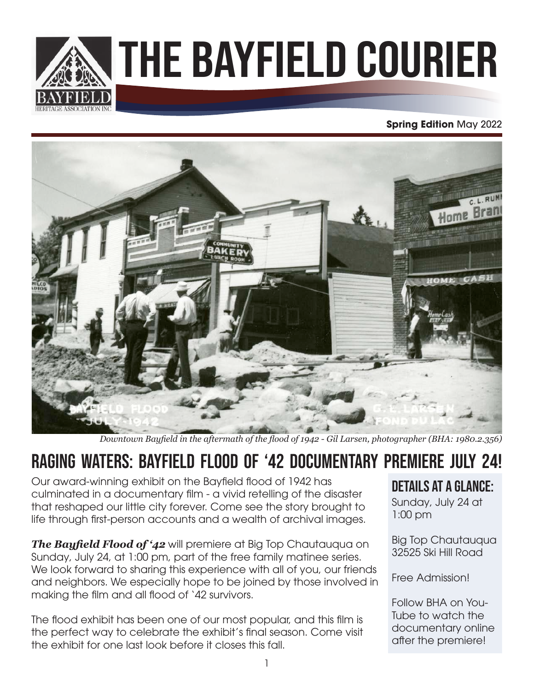

# The Bayfield Courier

#### **Spring Edition** May 2022



*Downtown Bayfield in the aftermath of the flood of 1942 - Gil Larsen, photographer (BHA: 1980.2.356)*

### RAGING WATERS: Bayfield Flood of '42 Documentary Premiere July 24!

Our award-winning exhibit on the Bayfield flood of 1942 has culminated in a documentary film - a vivid retelling of the disaster that reshaped our little city forever. Come see the story brought to life through first-person accounts and a wealth of archival images.

*The Bayfield Flood of '42* will premiere at Big Top Chautauqua on Sunday, July 24, at 1:00 pm, part of the free family matinee series. We look forward to sharing this experience with all of you, our friends and neighbors. We especially hope to be joined by those involved in making the film and all flood of '42 survivors.

The flood exhibit has been one of our most popular, and this film is the perfect way to celebrate the exhibit's final season. Come visit the exhibit for one last look before it closes this fall.

#### details at a glance:

Sunday, July 24 at 1:00 pm

Big Top Chautauqua 32525 Ski Hill Road

Free Admission!

Follow BHA on You-Tube to watch the documentary online after the premiere!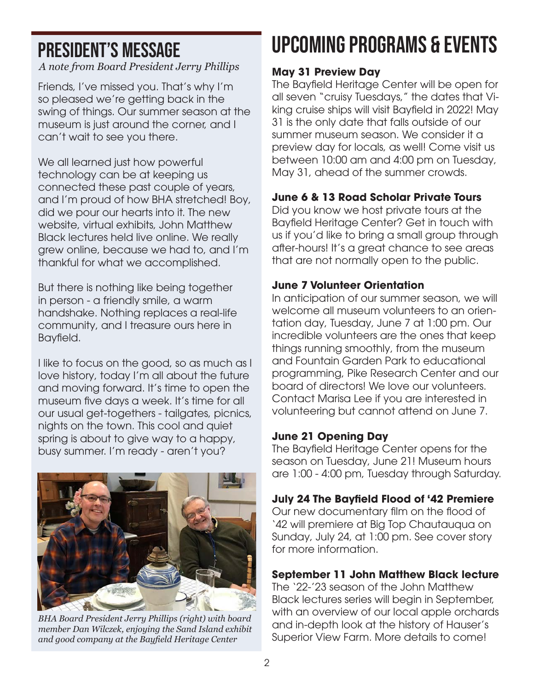### President's Message

*A note from Board President Jerry Phillips*

Friends, I've missed you. That's why I'm so pleased we're getting back in the swing of things. Our summer season at the museum is just around the corner, and I can't wait to see you there.

We all learned just how powerful technology can be at keeping us connected these past couple of years, and I'm proud of how BHA stretched! Boy, did we pour our hearts into it. The new website, virtual exhibits, John Matthew Black lectures held live online. We really grew online, because we had to, and I'm thankful for what we accomplished.

But there is nothing like being together in person - a friendly smile, a warm handshake. Nothing replaces a real-life community, and I treasure ours here in Bayfield.

I like to focus on the good, so as much as I love history, today I'm all about the future and moving forward. It's time to open the museum five days a week. It's time for all our usual get-togethers - tailgates, picnics, nights on the town. This cool and quiet spring is about to give way to a happy, busy summer. I'm ready - aren't you?



*BHA Board President Jerry Phillips (right) with board member Dan Wilczek, enjoying the Sand Island exhibit and good company at the Bayfield Heritage Center*

# upcoming programs & events

#### **May 31 Preview Day**

The Bayfield Heritage Center will be open for all seven "cruisy Tuesdays," the dates that Viking cruise ships will visit Bayfield in 2022! May 31 is the only date that falls outside of our summer museum season. We consider it a preview day for locals, as well! Come visit us between 10:00 am and 4:00 pm on Tuesday, May 31, ahead of the summer crowds.

#### **June 6 & 13 Road Scholar Private Tours**

Did you know we host private tours at the Bayfield Heritage Center? Get in touch with us if you'd like to bring a small group through after-hours! It's a great chance to see areas that are not normally open to the public.

#### **June 7 Volunteer Orientation**

In anticipation of our summer season, we will welcome all museum volunteers to an orientation day, Tuesday, June 7 at 1:00 pm. Our incredible volunteers are the ones that keep things running smoothly, from the museum and Fountain Garden Park to educational programming, Pike Research Center and our board of directors! We love our volunteers. Contact Marisa Lee if you are interested in volunteering but cannot attend on June 7.

#### **June 21 Opening Day**

The Bayfield Heritage Center opens for the season on Tuesday, June 21! Museum hours are 1:00 - 4:00 pm, Tuesday through Saturday.

#### **July 24 The Bayfield Flood of '42 Premiere**

Our new documentary film on the flood of '42 will premiere at Big Top Chautauqua on Sunday, July 24, at 1:00 pm. See cover story for more information.

#### **September 11 John Matthew Black lecture**

The '22-'23 season of the John Matthew Black lectures series will begin in September, with an overview of our local apple orchards and in-depth look at the history of Hauser's Superior View Farm. More details to come!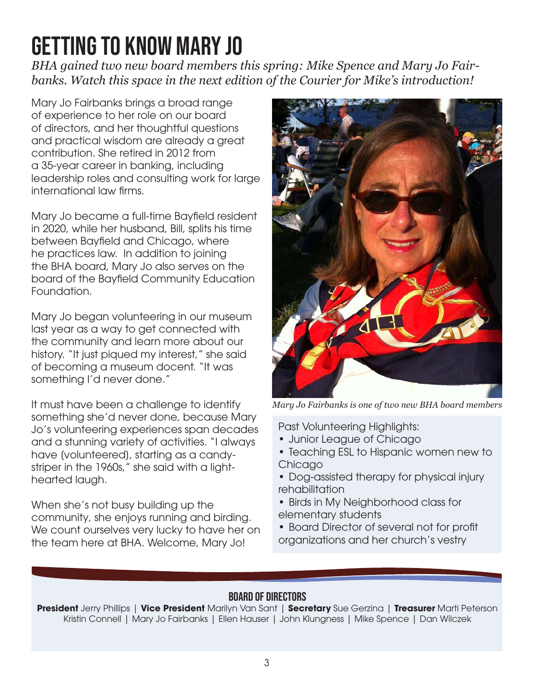# getting to know mary jo

*BHA gained two new board members this spring: Mike Spence and Mary Jo Fairbanks. Watch this space in the next edition of the Courier for Mike's introduction!*

Mary Jo Fairbanks brings a broad range of experience to her role on our board of directors, and her thoughtful questions and practical wisdom are already a great contribution. She retired in 2012 from a 35-year career in banking, including leadership roles and consulting work for large international law firms.

Mary Jo became a full-time Bayfield resident in 2020, while her husband, Bill, splits his time between Bayfield and Chicago, where he practices law. In addition to joining the BHA board, Mary Jo also serves on the board of the Bayfield Community Education Foundation.

Mary Jo began volunteering in our museum last year as a way to get connected with the community and learn more about our history. "It just piqued my interest," she said of becoming a museum docent. "It was something I'd never done."

It must have been a challenge to identify something she'd never done, because Mary Jo's volunteering experiences span decades and a stunning variety of activities. "I always have [volunteered], starting as a candystriper in the 1960s," she said with a lighthearted laugh.

When she's not busy building up the community, she enjoys running and birding. We count ourselves very lucky to have her on the team here at BHA. Welcome, Mary Jo!



*Mary Jo Fairbanks is one of two new BHA board members*

Past Volunteering Highlights:

- Junior League of Chicago
- Teaching ESL to Hispanic women new to Chicago
- Dog-assisted therapy for physical injury rehabilitation
- Birds in My Neighborhood class for elementary students
- Board Director of several not for profit organizations and her church's vestry

#### board of directors

**President** Jerry Phillips | **Vice President** Marilyn Van Sant | **Secretary** Sue Gerzina | **Treasurer** Marti Peterson Kristin Connell | Mary Jo Fairbanks | Ellen Hauser | John Klungness | Mike Spence | Dan Wilczek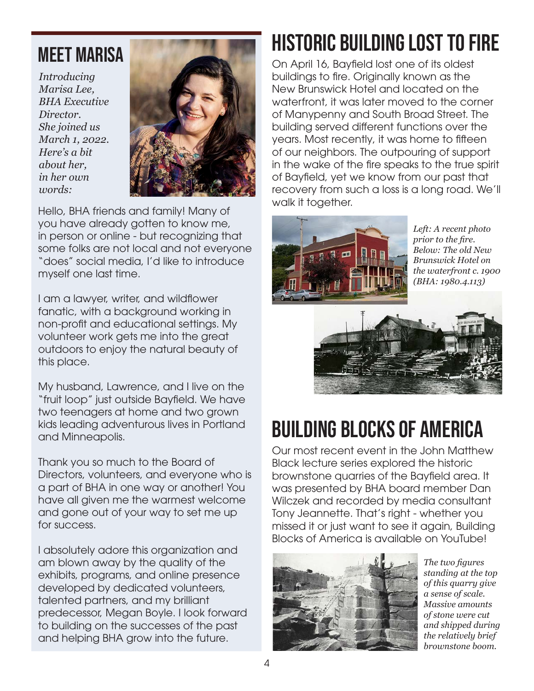### Meet Marisa

*Introducing Marisa Lee, BHA Executive Director. She joined us March 1, 2022. Here's a bit about her, in her own words:*



Hello, BHA friends and family! Many of you have already gotten to know me, in person or online - but recognizing that some folks are not local and not everyone "does" social media, I'd like to introduce myself one last time.

I am a lawyer, writer, and wildflower fanatic, with a background working in non-profit and educational settings. My volunteer work gets me into the great outdoors to enjoy the natural beauty of this place.

My husband, Lawrence, and I live on the "fruit loop" just outside Bayfield. We have two teenagers at home and two grown kids leading adventurous lives in Portland and Minneapolis.

Thank you so much to the Board of Directors, volunteers, and everyone who is a part of BHA in one way or another! You have all given me the warmest welcome and gone out of your way to set me up for success.

I absolutely adore this organization and am blown away by the quality of the exhibits, programs, and online presence developed by dedicated volunteers, talented partners, and my brilliant predecessor, Megan Boyle. I look forward to building on the successes of the past and helping BHA grow into the future.

# historic building lost to fire

On April 16, Bayfield lost one of its oldest buildings to fire. Originally known as the New Brunswick Hotel and located on the waterfront, it was later moved to the corner of Manypenny and South Broad Street. The building served different functions over the years. Most recently, it was home to fifteen of our neighbors. The outpouring of support in the wake of the fire speaks to the true spirit of Bayfield, yet we know from our past that recovery from such a loss is a long road. We'll walk it together.



*Left: A recent photo prior to the fire. Below: The old New Brunswick Hotel on the waterfront c. 1900 (BHA: 1980.4.113)*



# building blocks of america

Our most recent event in the John Matthew Black lecture series explored the historic brownstone quarries of the Bayfield area. It was presented by BHA board member Dan Wilczek and recorded by media consultant Tony Jeannette. That's right - whether you missed it or just want to see it again, Building Blocks of America is available on YouTube!



*The two figures standing at the top of this quarry give a sense of scale. Massive amounts of stone were cut and shipped during the relatively brief brownstone boom.*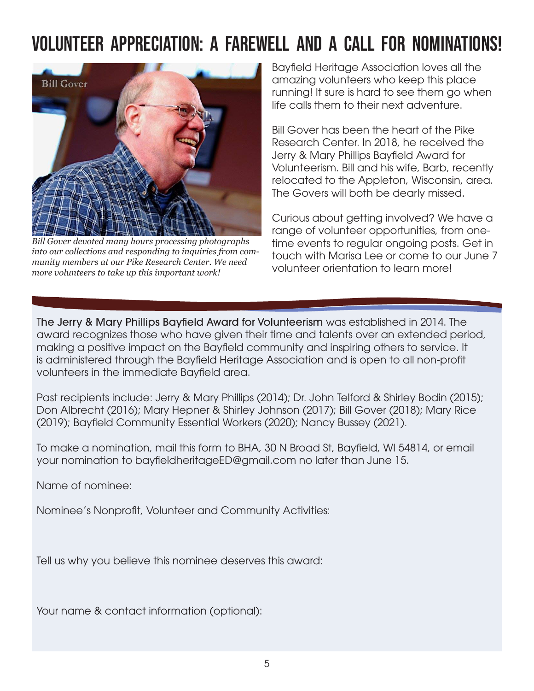### volunteer appreciation: a farewell and a call for Nominations!



*Bill Gover devoted many hours processing photographs into our collections and responding to inquiries from community members at our Pike Research Center. We need more volunteers to take up this important work!*

Bayfield Heritage Association loves all the amazing volunteers who keep this place running! It sure is hard to see them go when life calls them to their next adventure.

Bill Gover has been the heart of the Pike Research Center. In 2018, he received the Jerry & Mary Phillips Bayfield Award for Volunteerism. Bill and his wife, Barb, recently relocated to the Appleton, Wisconsin, area. The Govers will both be dearly missed.

Curious about getting involved? We have a range of volunteer opportunities, from onetime events to regular ongoing posts. Get in touch with Marisa Lee or come to our June 7 volunteer orientation to learn more!

The Jerry & Mary Phillips Bayfield Award for Volunteerism was established in 2014. The award recognizes those who have given their time and talents over an extended period, making a positive impact on the Bayfield community and inspiring others to service. It is administered through the Bayfield Heritage Association and is open to all non-profit volunteers in the immediate Bayfield area.

Past recipients include: Jerry & Mary Phillips (2014); Dr. John Telford & Shirley Bodin (2015); Don Albrecht (2016); Mary Hepner & Shirley Johnson (2017); Bill Gover (2018); Mary Rice (2019); Bayfield Community Essential Workers (2020); Nancy Bussey (2021).

To make a nomination, mail this form to BHA, 30 N Broad St, Bayfield, WI 54814, or email your nomination to bayfieldheritageED@gmail.com no later than June 15.

Name of nominee:

Nominee's Nonprofit, Volunteer and Community Activities:

Tell us why you believe this nominee deserves this award:

Your name & contact information (optional):